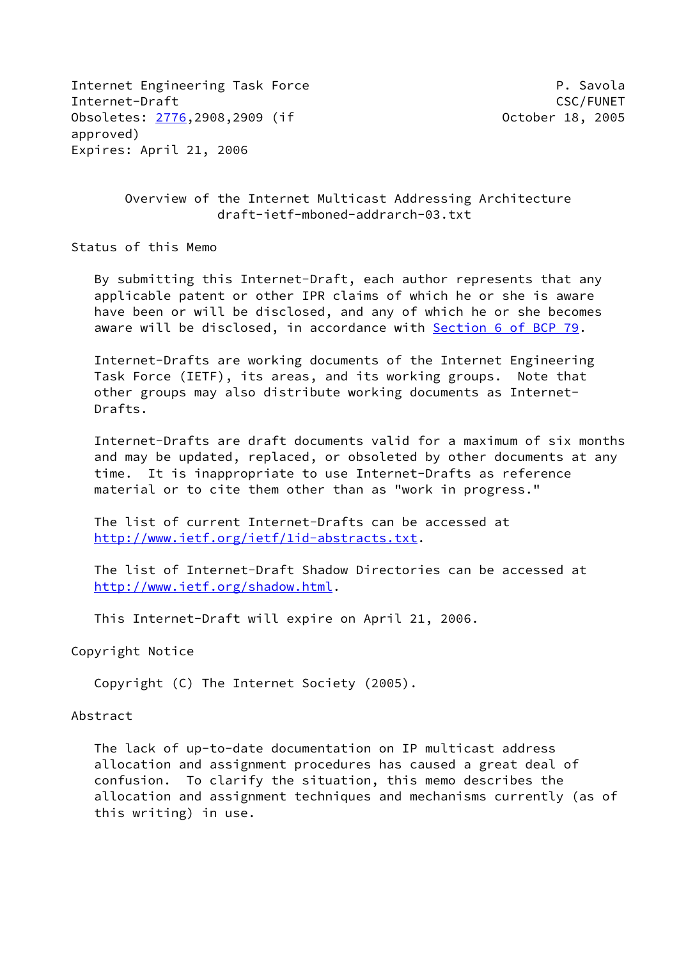Internet Engineering Task Force **P. Savola** Internet-Draft CSC/FUNET Obsoletes: [2776](https://datatracker.ietf.org/doc/pdf/rfc2776),2908,2909 (if October 18, 2005 approved) Expires: April 21, 2006

 Overview of the Internet Multicast Addressing Architecture draft-ietf-mboned-addrarch-03.txt

Status of this Memo

 By submitting this Internet-Draft, each author represents that any applicable patent or other IPR claims of which he or she is aware have been or will be disclosed, and any of which he or she becomes aware will be disclosed, in accordance with Section [6 of BCP 79.](https://datatracker.ietf.org/doc/pdf/bcp79#section-6)

 Internet-Drafts are working documents of the Internet Engineering Task Force (IETF), its areas, and its working groups. Note that other groups may also distribute working documents as Internet- Drafts.

 Internet-Drafts are draft documents valid for a maximum of six months and may be updated, replaced, or obsoleted by other documents at any time. It is inappropriate to use Internet-Drafts as reference material or to cite them other than as "work in progress."

 The list of current Internet-Drafts can be accessed at <http://www.ietf.org/ietf/1id-abstracts.txt>.

 The list of Internet-Draft Shadow Directories can be accessed at <http://www.ietf.org/shadow.html>.

This Internet-Draft will expire on April 21, 2006.

Copyright Notice

Copyright (C) The Internet Society (2005).

#### Abstract

 The lack of up-to-date documentation on IP multicast address allocation and assignment procedures has caused a great deal of confusion. To clarify the situation, this memo describes the allocation and assignment techniques and mechanisms currently (as of this writing) in use.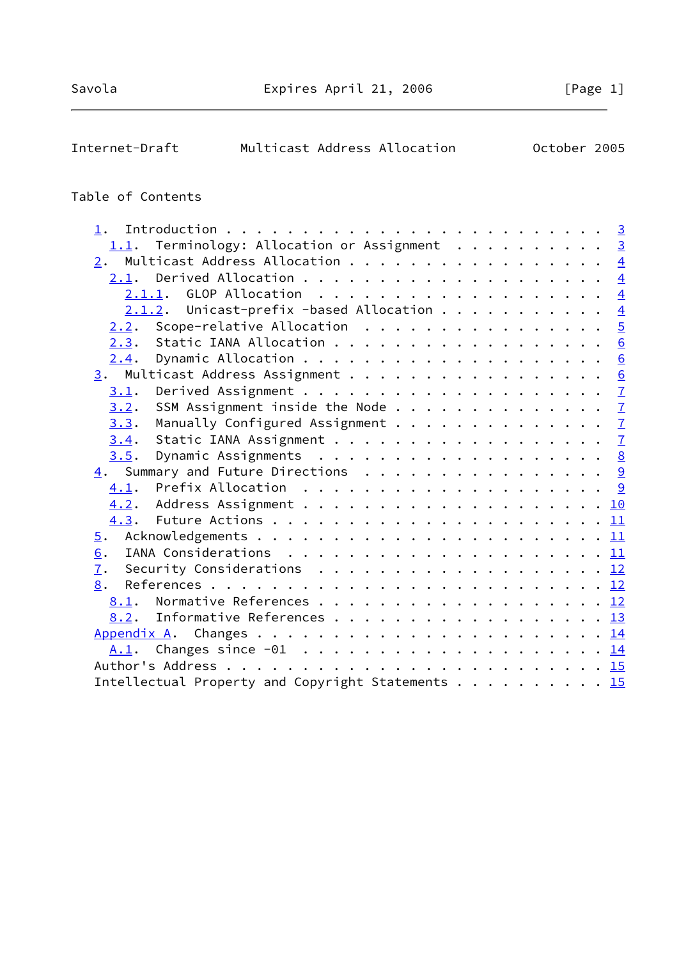| October 2005<br>Multicast Address Allocation<br>Internet-Draft |  |
|----------------------------------------------------------------|--|
|----------------------------------------------------------------|--|

# Table of Contents

| $1$ .                                                                                         |  |
|-----------------------------------------------------------------------------------------------|--|
| 1.1. Terminology: Allocation or Assignment 3                                                  |  |
| $\underline{2}$ . Multicast Address Allocation 4                                              |  |
|                                                                                               |  |
| 2.1.1. GLOP Allocation 4                                                                      |  |
| $2.1.2$ . Unicast-prefix -based Allocation 4                                                  |  |
| Scope-relative Allocation $5$<br>2.2.                                                         |  |
| Static IANA Allocation 6<br>2.3.                                                              |  |
| 2.4.                                                                                          |  |
| 3. Multicast Address Assignment 6                                                             |  |
| 3.1.                                                                                          |  |
| SSM Assignment inside the Node $\frac{7}{2}$<br>3.2.                                          |  |
| Manually Configured Assignment $\frac{7}{2}$<br>3.3.                                          |  |
| Static IANA Assignment $\frac{7}{4}$<br>3.4.                                                  |  |
| 3.5.                                                                                          |  |
| 4. Summary and Future Directions 9                                                            |  |
|                                                                                               |  |
|                                                                                               |  |
|                                                                                               |  |
| $\overline{5}$ .                                                                              |  |
| 6.                                                                                            |  |
| 7.<br>Security Considerations $\ldots \ldots \ldots \ldots \ldots \ldots \ldots \frac{12}{2}$ |  |
| 8.                                                                                            |  |
| 8.1.                                                                                          |  |
| 8.2. Informative References 13                                                                |  |
|                                                                                               |  |
|                                                                                               |  |
|                                                                                               |  |
| Intellectual Property and Copyright Statements 15                                             |  |
|                                                                                               |  |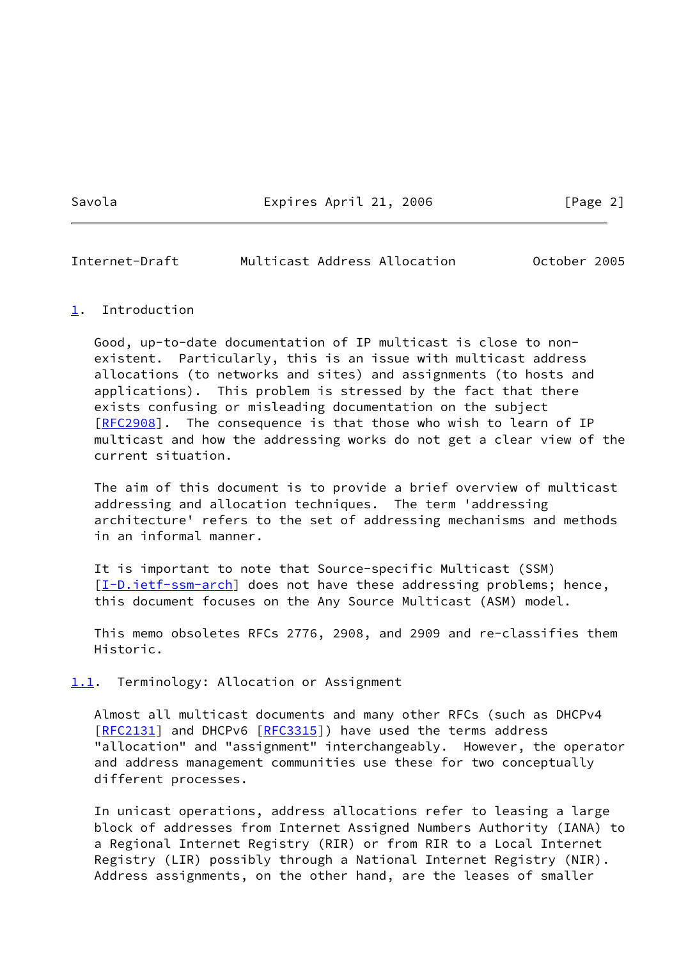Savola **Expires April 21, 2006** [Page 2]

<span id="page-2-1"></span>Internet-Draft Multicast Address Allocation October 2005

#### <span id="page-2-0"></span>[1](#page-2-0). Introduction

 Good, up-to-date documentation of IP multicast is close to non existent. Particularly, this is an issue with multicast address allocations (to networks and sites) and assignments (to hosts and applications). This problem is stressed by the fact that there exists confusing or misleading documentation on the subject [\[RFC2908](https://datatracker.ietf.org/doc/pdf/rfc2908)]. The consequence is that those who wish to learn of IP multicast and how the addressing works do not get a clear view of the current situation.

 The aim of this document is to provide a brief overview of multicast addressing and allocation techniques. The term 'addressing architecture' refers to the set of addressing mechanisms and methods in an informal manner.

 It is important to note that Source-specific Multicast (SSM) [\[I-D.ietf-ssm-arch](#page-13-2)] does not have these addressing problems; hence, this document focuses on the Any Source Multicast (ASM) model.

 This memo obsoletes RFCs 2776, 2908, and 2909 and re-classifies them Historic.

<span id="page-2-2"></span>[1.1](#page-2-2). Terminology: Allocation or Assignment

 Almost all multicast documents and many other RFCs (such as DHCPv4 [\[RFC2131](https://datatracker.ietf.org/doc/pdf/rfc2131)] and DHCPv6 [\[RFC3315](https://datatracker.ietf.org/doc/pdf/rfc3315)]) have used the terms address "allocation" and "assignment" interchangeably. However, the operator and address management communities use these for two conceptually different processes.

 In unicast operations, address allocations refer to leasing a large block of addresses from Internet Assigned Numbers Authority (IANA) to a Regional Internet Registry (RIR) or from RIR to a Local Internet Registry (LIR) possibly through a National Internet Registry (NIR). Address assignments, on the other hand, are the leases of smaller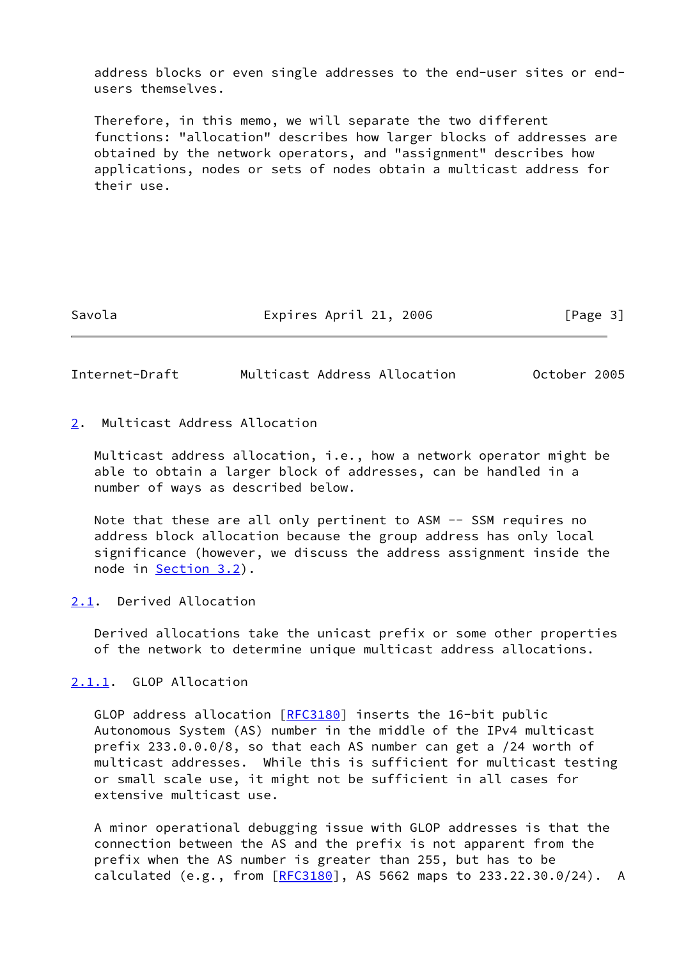address blocks or even single addresses to the end-user sites or end users themselves.

 Therefore, in this memo, we will separate the two different functions: "allocation" describes how larger blocks of addresses are obtained by the network operators, and "assignment" describes how applications, nodes or sets of nodes obtain a multicast address for their use.

Savola **Expires April 21, 2006** [Page 3]

<span id="page-3-1"></span>Internet-Draft Multicast Address Allocation October 2005

# <span id="page-3-0"></span>[2](#page-3-0). Multicast Address Allocation

 Multicast address allocation, i.e., how a network operator might be able to obtain a larger block of addresses, can be handled in a number of ways as described below.

Note that these are all only pertinent to ASM -- SSM requires no address block allocation because the group address has only local significance (however, we discuss the address assignment inside the node in [Section 3.2](#page-7-0)).

## <span id="page-3-2"></span>[2.1](#page-3-2). Derived Allocation

 Derived allocations take the unicast prefix or some other properties of the network to determine unique multicast address allocations.

<span id="page-3-3"></span>[2.1.1](#page-3-3). GLOP Allocation

 GLOP address allocation [\[RFC3180](https://datatracker.ietf.org/doc/pdf/rfc3180)] inserts the 16-bit public Autonomous System (AS) number in the middle of the IPv4 multicast prefix 233.0.0.0/8, so that each AS number can get a /24 worth of multicast addresses. While this is sufficient for multicast testing or small scale use, it might not be sufficient in all cases for extensive multicast use.

 A minor operational debugging issue with GLOP addresses is that the connection between the AS and the prefix is not apparent from the prefix when the AS number is greater than 255, but has to be calculated (e.g., from  $[REC3180]$ , AS 5662 maps to 233.22.30.0/24). A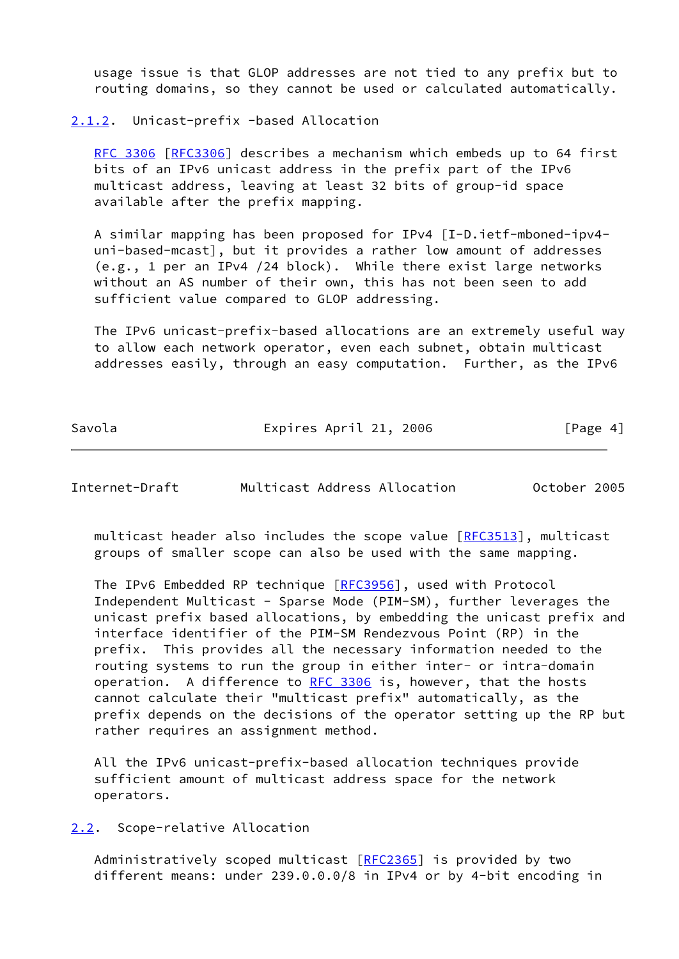usage issue is that GLOP addresses are not tied to any prefix but to routing domains, so they cannot be used or calculated automatically.

## <span id="page-4-0"></span>[2.1.2](#page-4-0). Unicast-prefix -based Allocation

 [RFC 3306](https://datatracker.ietf.org/doc/pdf/rfc3306) [\[RFC3306](https://datatracker.ietf.org/doc/pdf/rfc3306)] describes a mechanism which embeds up to 64 first bits of an IPv6 unicast address in the prefix part of the IPv6 multicast address, leaving at least 32 bits of group-id space available after the prefix mapping.

 A similar mapping has been proposed for IPv4 [I-D.ietf-mboned-ipv4 uni-based-mcast], but it provides a rather low amount of addresses (e.g., 1 per an IPv4 /24 block). While there exist large networks without an AS number of their own, this has not been seen to add sufficient value compared to GLOP addressing.

 The IPv6 unicast-prefix-based allocations are an extremely useful way to allow each network operator, even each subnet, obtain multicast addresses easily, through an easy computation. Further, as the IPv6

Savola Expires April 21, 2006 [Page 4]

<span id="page-4-2"></span>Internet-Draft Multicast Address Allocation October 2005

multicast header also includes the scope value  $[REC3513]$ , multicast groups of smaller scope can also be used with the same mapping.

 The IPv6 Embedded RP technique [\[RFC3956](https://datatracker.ietf.org/doc/pdf/rfc3956)], used with Protocol Independent Multicast - Sparse Mode (PIM-SM), further leverages the unicast prefix based allocations, by embedding the unicast prefix and interface identifier of the PIM-SM Rendezvous Point (RP) in the prefix. This provides all the necessary information needed to the routing systems to run the group in either inter- or intra-domain operation. A difference to [RFC 3306](https://datatracker.ietf.org/doc/pdf/rfc3306) is, however, that the hosts cannot calculate their "multicast prefix" automatically, as the prefix depends on the decisions of the operator setting up the RP but rather requires an assignment method.

 All the IPv6 unicast-prefix-based allocation techniques provide sufficient amount of multicast address space for the network operators.

<span id="page-4-1"></span>[2.2](#page-4-1). Scope-relative Allocation

Administratively scoped multicast [[RFC2365](https://datatracker.ietf.org/doc/pdf/rfc2365)] is provided by two different means: under 239.0.0.0/8 in IPv4 or by 4-bit encoding in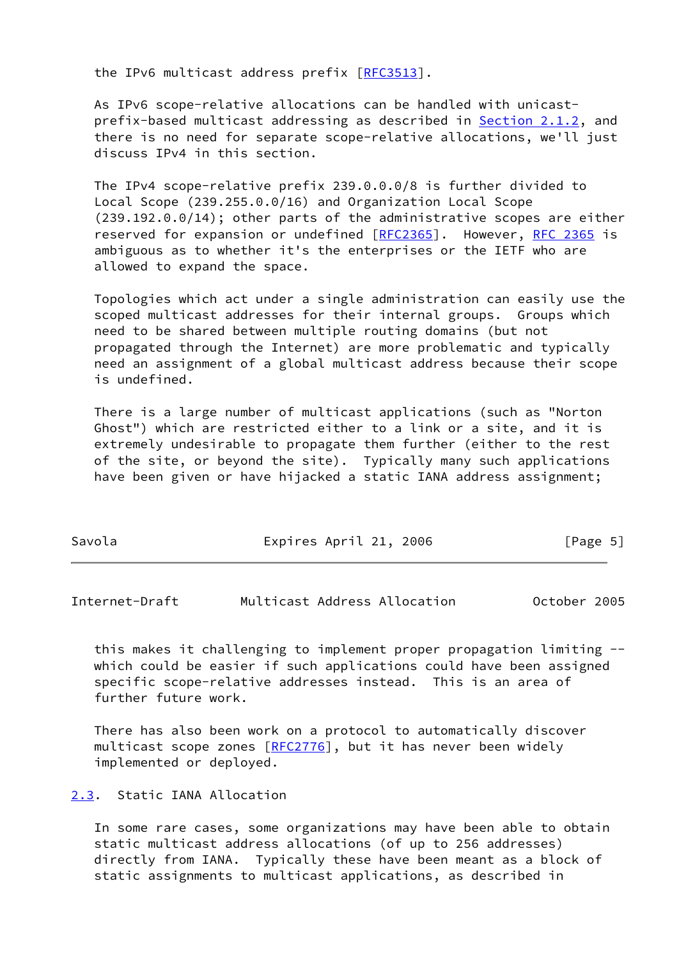the IPv6 multicast address prefix [[RFC3513](https://datatracker.ietf.org/doc/pdf/rfc3513)].

 As IPv6 scope-relative allocations can be handled with unicast prefix-based multicast addressing as described in **Section 2.1.2**, and there is no need for separate scope-relative allocations, we'll just discuss IPv4 in this section.

 The IPv4 scope-relative prefix 239.0.0.0/8 is further divided to Local Scope (239.255.0.0/16) and Organization Local Scope (239.192.0.0/14); other parts of the administrative scopes are either reserved for expansion or undefined [\[RFC2365](https://datatracker.ietf.org/doc/pdf/rfc2365)]. However, [RFC 2365](https://datatracker.ietf.org/doc/pdf/rfc2365) is ambiguous as to whether it's the enterprises or the IETF who are allowed to expand the space.

 Topologies which act under a single administration can easily use the scoped multicast addresses for their internal groups. Groups which need to be shared between multiple routing domains (but not propagated through the Internet) are more problematic and typically need an assignment of a global multicast address because their scope is undefined.

 There is a large number of multicast applications (such as "Norton Ghost") which are restricted either to a link or a site, and it is extremely undesirable to propagate them further (either to the rest of the site, or beyond the site). Typically many such applications have been given or have hijacked a static IANA address assignment;

| Savola | Expires April 21, 2006 | [Page 5] |
|--------|------------------------|----------|
|--------|------------------------|----------|

<span id="page-5-1"></span>

| October 2005<br>Multicast Address Allocation<br>Internet-Draft |
|----------------------------------------------------------------|
|----------------------------------------------------------------|

 this makes it challenging to implement proper propagation limiting - which could be easier if such applications could have been assigned specific scope-relative addresses instead. This is an area of further future work.

 There has also been work on a protocol to automatically discover multicast scope zones [[RFC2776](https://datatracker.ietf.org/doc/pdf/rfc2776)], but it has never been widely implemented or deployed.

<span id="page-5-0"></span>[2.3](#page-5-0). Static IANA Allocation

 In some rare cases, some organizations may have been able to obtain static multicast address allocations (of up to 256 addresses) directly from IANA. Typically these have been meant as a block of static assignments to multicast applications, as described in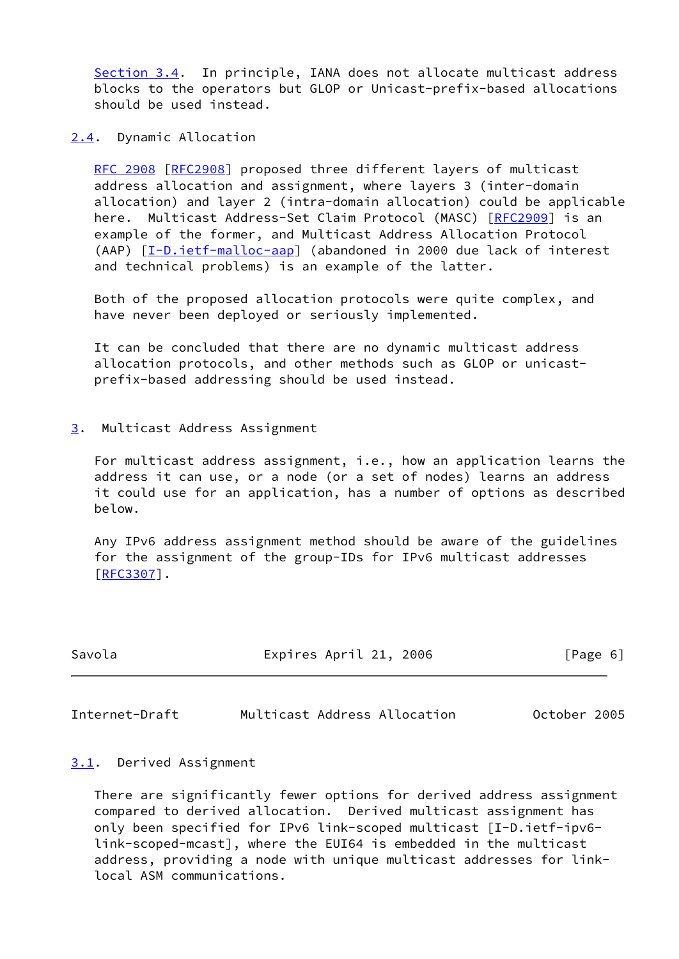[Section 3.4](#page-7-2). In principle, IANA does not allocate multicast address blocks to the operators but GLOP or Unicast-prefix-based allocations should be used instead.

<span id="page-6-0"></span>[2.4](#page-6-0). Dynamic Allocation

 [RFC 2908](https://datatracker.ietf.org/doc/pdf/rfc2908) [\[RFC2908](https://datatracker.ietf.org/doc/pdf/rfc2908)] proposed three different layers of multicast address allocation and assignment, where layers 3 (inter-domain allocation) and layer 2 (intra-domain allocation) could be applicable here. Multicast Address-Set Claim Protocol (MASC) [[RFC2909\]](https://datatracker.ietf.org/doc/pdf/rfc2909) is an example of the former, and Multicast Address Allocation Protocol (AAP) [[I-D.ietf-malloc-aap](#page-13-3)] (abandoned in 2000 due lack of interest and technical problems) is an example of the latter.

 Both of the proposed allocation protocols were quite complex, and have never been deployed or seriously implemented.

 It can be concluded that there are no dynamic multicast address allocation protocols, and other methods such as GLOP or unicast prefix-based addressing should be used instead.

<span id="page-6-1"></span>[3](#page-6-1). Multicast Address Assignment

 For multicast address assignment, i.e., how an application learns the address it can use, or a node (or a set of nodes) learns an address it could use for an application, has a number of options as described below.

 Any IPv6 address assignment method should be aware of the guidelines for the assignment of the group-IDs for IPv6 multicast addresses [\[RFC3307](https://datatracker.ietf.org/doc/pdf/rfc3307)].

| Savola | Expires April 21, 2006 |  | [Page 6] |  |
|--------|------------------------|--|----------|--|
|        |                        |  |          |  |

<span id="page-6-3"></span>Internet-Draft Multicast Address Allocation October 2005

## <span id="page-6-2"></span>[3.1](#page-6-2). Derived Assignment

 There are significantly fewer options for derived address assignment compared to derived allocation. Derived multicast assignment has only been specified for IPv6 link-scoped multicast [I-D.ietf-ipv6 link-scoped-mcast], where the EUI64 is embedded in the multicast address, providing a node with unique multicast addresses for link local ASM communications.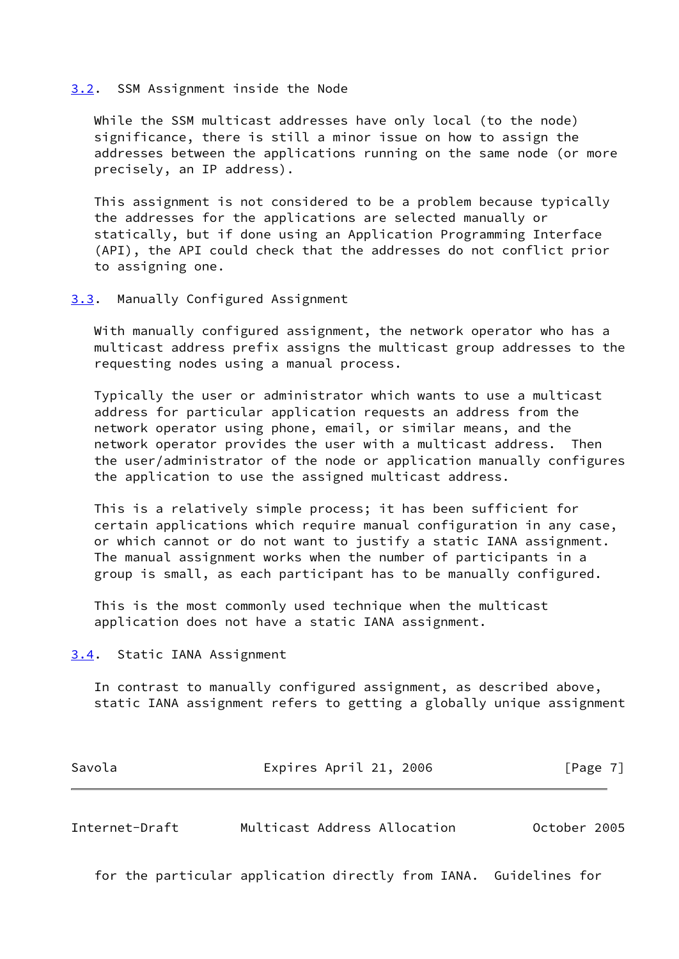#### <span id="page-7-0"></span>[3.2](#page-7-0). SSM Assignment inside the Node

 While the SSM multicast addresses have only local (to the node) significance, there is still a minor issue on how to assign the addresses between the applications running on the same node (or more precisely, an IP address).

 This assignment is not considered to be a problem because typically the addresses for the applications are selected manually or statically, but if done using an Application Programming Interface (API), the API could check that the addresses do not conflict prior to assigning one.

#### <span id="page-7-1"></span>[3.3](#page-7-1). Manually Configured Assignment

 With manually configured assignment, the network operator who has a multicast address prefix assigns the multicast group addresses to the requesting nodes using a manual process.

 Typically the user or administrator which wants to use a multicast address for particular application requests an address from the network operator using phone, email, or similar means, and the network operator provides the user with a multicast address. Then the user/administrator of the node or application manually configures the application to use the assigned multicast address.

 This is a relatively simple process; it has been sufficient for certain applications which require manual configuration in any case, or which cannot or do not want to justify a static IANA assignment. The manual assignment works when the number of participants in a group is small, as each participant has to be manually configured.

 This is the most commonly used technique when the multicast application does not have a static IANA assignment.

<span id="page-7-2"></span>[3.4](#page-7-2). Static IANA Assignment

 In contrast to manually configured assignment, as described above, static IANA assignment refers to getting a globally unique assignment

| Savola | Expires April 21, 2006 | [Page 7] |
|--------|------------------------|----------|
|        |                        |          |
|        |                        |          |

<span id="page-7-3"></span>Internet-Draft Multicast Address Allocation October 2005

for the particular application directly from IANA. Guidelines for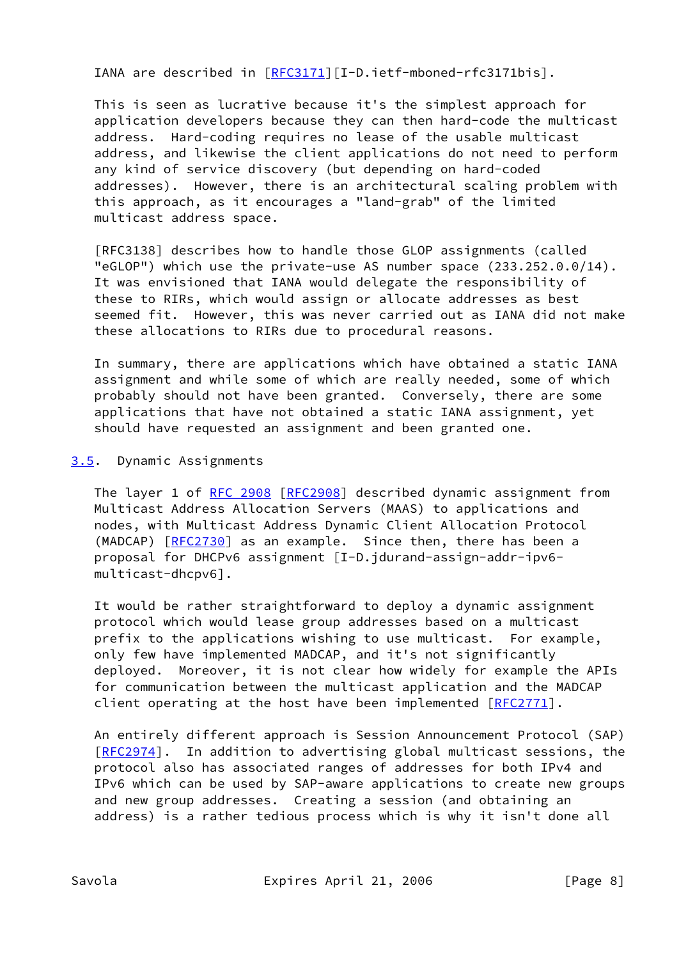IANA are described in [[RFC3171](https://datatracker.ietf.org/doc/pdf/rfc3171)][I-D.ietf-mboned-rfc3171bis].

 This is seen as lucrative because it's the simplest approach for application developers because they can then hard-code the multicast address. Hard-coding requires no lease of the usable multicast address, and likewise the client applications do not need to perform any kind of service discovery (but depending on hard-coded addresses). However, there is an architectural scaling problem with this approach, as it encourages a "land-grab" of the limited multicast address space.

 [RFC3138] describes how to handle those GLOP assignments (called "eGLOP") which use the private-use AS number space (233.252.0.0/14). It was envisioned that IANA would delegate the responsibility of these to RIRs, which would assign or allocate addresses as best seemed fit. However, this was never carried out as IANA did not make these allocations to RIRs due to procedural reasons.

 In summary, there are applications which have obtained a static IANA assignment and while some of which are really needed, some of which probably should not have been granted. Conversely, there are some applications that have not obtained a static IANA assignment, yet should have requested an assignment and been granted one.

## <span id="page-8-0"></span>[3.5](#page-8-0). Dynamic Assignments

The layer 1 of [RFC 2908 \[RFC2908](https://datatracker.ietf.org/doc/pdf/rfc2908)] described dynamic assignment from Multicast Address Allocation Servers (MAAS) to applications and nodes, with Multicast Address Dynamic Client Allocation Protocol (MADCAP) [\[RFC2730](https://datatracker.ietf.org/doc/pdf/rfc2730)] as an example. Since then, there has been a proposal for DHCPv6 assignment [I-D.jdurand-assign-addr-ipv6 multicast-dhcpv6].

 It would be rather straightforward to deploy a dynamic assignment protocol which would lease group addresses based on a multicast prefix to the applications wishing to use multicast. For example, only few have implemented MADCAP, and it's not significantly deployed. Moreover, it is not clear how widely for example the APIs for communication between the multicast application and the MADCAP client operating at the host have been implemented [[RFC2771\]](https://datatracker.ietf.org/doc/pdf/rfc2771).

 An entirely different approach is Session Announcement Protocol (SAP) [\[RFC2974](https://datatracker.ietf.org/doc/pdf/rfc2974)]. In addition to advertising global multicast sessions, the protocol also has associated ranges of addresses for both IPv4 and IPv6 which can be used by SAP-aware applications to create new groups and new group addresses. Creating a session (and obtaining an address) is a rather tedious process which is why it isn't done all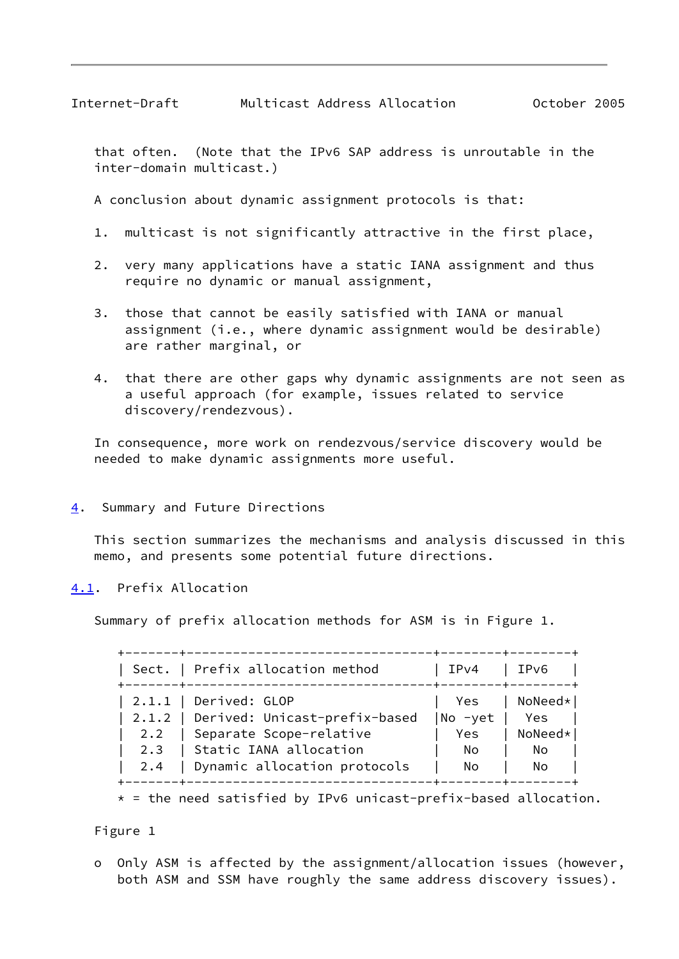<span id="page-9-1"></span> that often. (Note that the IPv6 SAP address is unroutable in the inter-domain multicast.)

A conclusion about dynamic assignment protocols is that:

- 1. multicast is not significantly attractive in the first place,
- 2. very many applications have a static IANA assignment and thus require no dynamic or manual assignment,
- 3. those that cannot be easily satisfied with IANA or manual assignment (i.e., where dynamic assignment would be desirable) are rather marginal, or
- 4. that there are other gaps why dynamic assignments are not seen as a useful approach (for example, issues related to service discovery/rendezvous).

 In consequence, more work on rendezvous/service discovery would be needed to make dynamic assignments more useful.

## <span id="page-9-0"></span>[4](#page-9-0). Summary and Future Directions

 This section summarizes the mechanisms and analysis discussed in this memo, and presents some potential future directions.

## <span id="page-9-2"></span>[4.1](#page-9-2). Prefix Allocation

Summary of prefix allocation methods for ASM is in Figure 1.

|     | Sect.   Prefix allocation method      | IPv4          | IPv6      |
|-----|---------------------------------------|---------------|-----------|
|     | $\vert$ 2.1.1   Derived: GLOP         | Yes           | NoNeed*   |
|     | 2.1.2   Derived: Unicast-prefix-based | No -yet   Yes |           |
|     | 2.2   Separate Scope-relative         | Yes           | $NoNeed*$ |
|     | 2.3   Static IANA allocation          | No.           | No        |
| 2.4 | Dynamic allocation protocols          | No.           | No        |

 $*$  = the need satisfied by IPv6 unicast-prefix-based allocation.

## Figure 1

 o Only ASM is affected by the assignment/allocation issues (however, both ASM and SSM have roughly the same address discovery issues).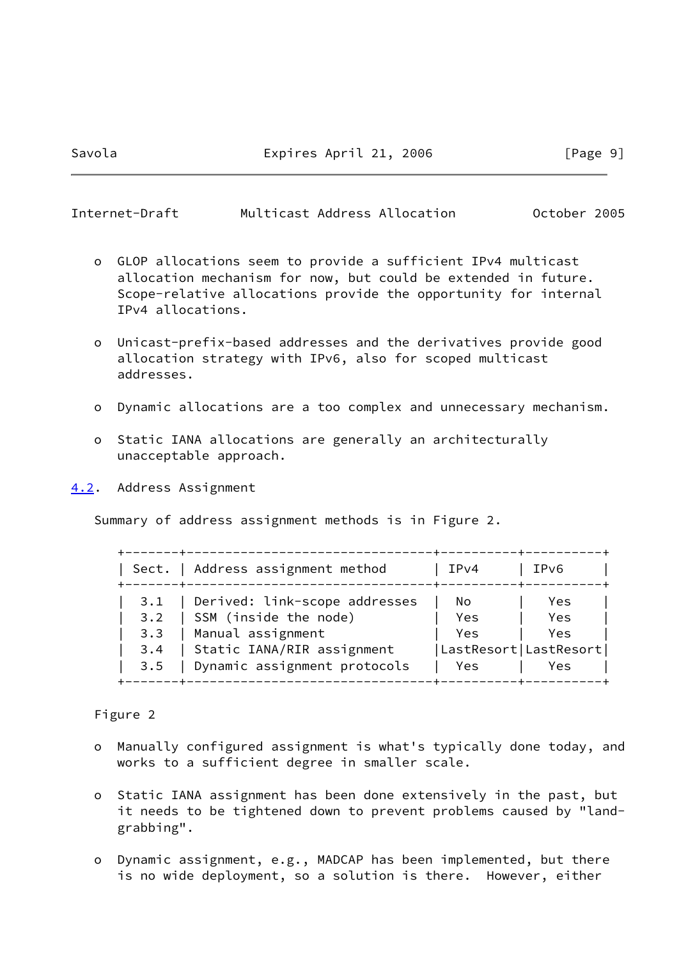<span id="page-10-1"></span>

| Internet-Draft |  | Multicast Address Allocation | October 2005 |  |
|----------------|--|------------------------------|--------------|--|
|                |  |                              |              |  |

- o GLOP allocations seem to provide a sufficient IPv4 multicast allocation mechanism for now, but could be extended in future. Scope-relative allocations provide the opportunity for internal IPv4 allocations.
- o Unicast-prefix-based addresses and the derivatives provide good allocation strategy with IPv6, also for scoped multicast addresses.
- o Dynamic allocations are a too complex and unnecessary mechanism.
- o Static IANA allocations are generally an architecturally unacceptable approach.
- <span id="page-10-0"></span>[4.2](#page-10-0). Address Assignment

Summary of address assignment methods is in Figure 2.

|     | Sect.   Address assignment method | IPv4                  | IPv6       |
|-----|-----------------------------------|-----------------------|------------|
| 3.1 | Derived: link-scope addresses     | No.                   | Yes        |
| 3.2 | SSM (inside the node)             | Yes                   | <b>Yes</b> |
| 3.3 | Manual assignment                 | Yes                   | Yes.       |
| 3.4 | Static IANA/RIR assignment        | LastResort LastResort |            |
| 3.5 | Dynamic assignment protocols      | Yes                   | Yes        |

Figure 2

- o Manually configured assignment is what's typically done today, and works to a sufficient degree in smaller scale.
- o Static IANA assignment has been done extensively in the past, but it needs to be tightened down to prevent problems caused by "land grabbing".
- o Dynamic assignment, e.g., MADCAP has been implemented, but there is no wide deployment, so a solution is there. However, either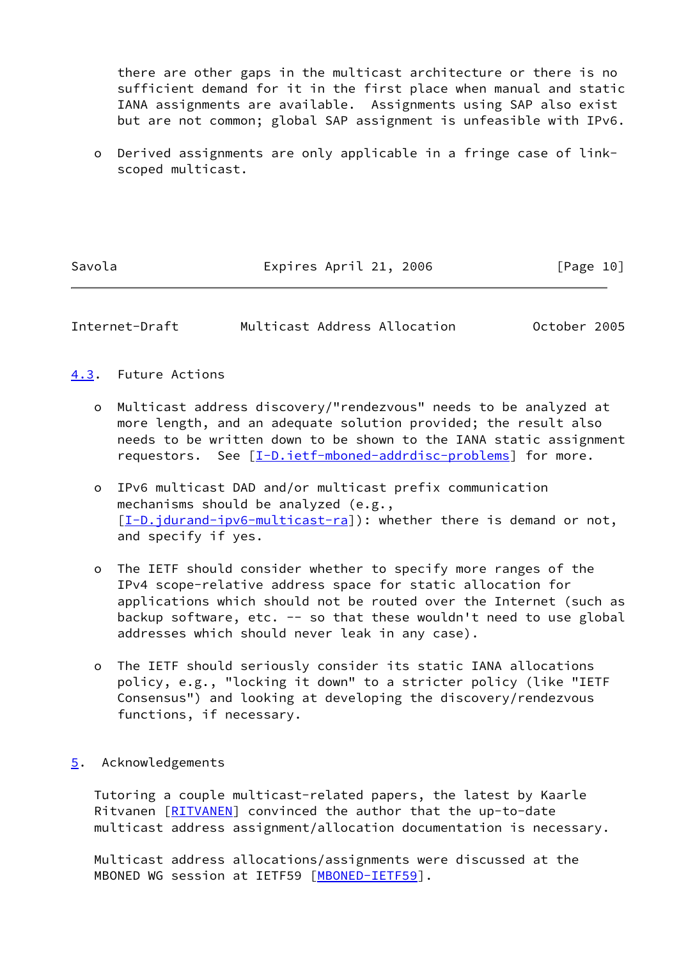there are other gaps in the multicast architecture or there is no sufficient demand for it in the first place when manual and static IANA assignments are available. Assignments using SAP also exist but are not common; global SAP assignment is unfeasible with IPv6.

 o Derived assignments are only applicable in a fringe case of link scoped multicast.

Savola **Expires April 21, 2006** [Page 10]

<span id="page-11-1"></span>Internet-Draft Multicast Address Allocation October 2005

## <span id="page-11-0"></span>[4.3](#page-11-0). Future Actions

- o Multicast address discovery/"rendezvous" needs to be analyzed at more length, and an adequate solution provided; the result also needs to be written down to be shown to the IANA static assignment requestors. See [\[I-D.ietf-mboned-addrdisc-problems](#page-13-4)] for more.
- o IPv6 multicast DAD and/or multicast prefix communication mechanisms should be analyzed (e.g., [[I-D.jdurand-ipv6-multicast-ra\]](#page-14-1)): whether there is demand or not, and specify if yes.
- o The IETF should consider whether to specify more ranges of the IPv4 scope-relative address space for static allocation for applications which should not be routed over the Internet (such as backup software, etc. -- so that these wouldn't need to use global addresses which should never leak in any case).
- o The IETF should seriously consider its static IANA allocations policy, e.g., "locking it down" to a stricter policy (like "IETF Consensus") and looking at developing the discovery/rendezvous functions, if necessary.

## <span id="page-11-2"></span>[5](#page-11-2). Acknowledgements

 Tutoring a couple multicast-related papers, the latest by Kaarle Ritvanen [\[RITVANEN](#page-15-3)] convinced the author that the up-to-date multicast address assignment/allocation documentation is necessary.

 Multicast address allocations/assignments were discussed at the MBONED WG session at IETF59 [\[MBONED-IETF59](#page-14-2)].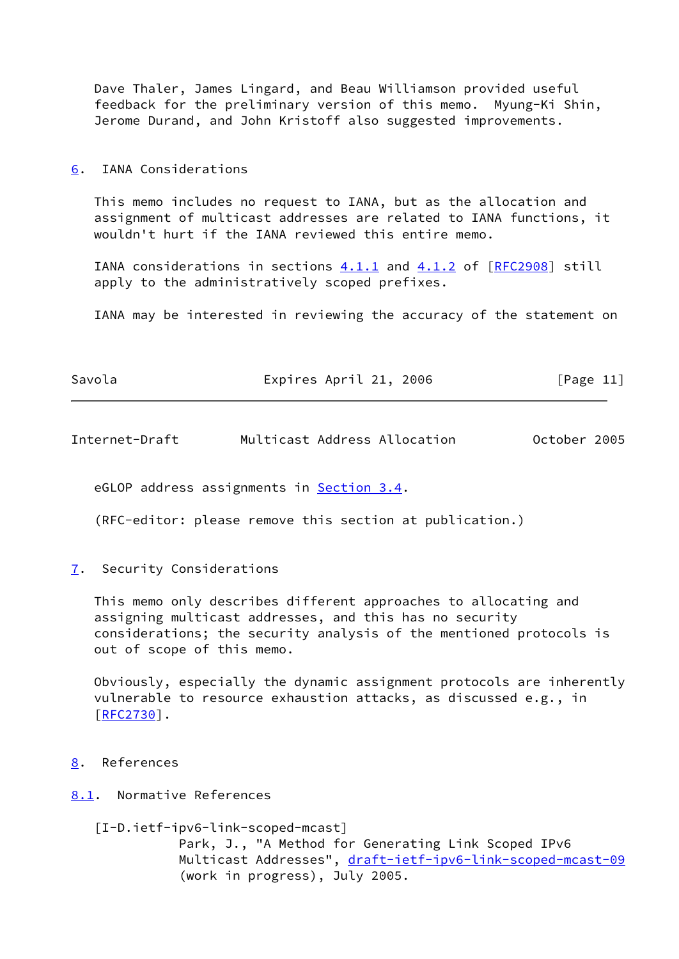Dave Thaler, James Lingard, and Beau Williamson provided useful feedback for the preliminary version of this memo. Myung-Ki Shin, Jerome Durand, and John Kristoff also suggested improvements.

#### <span id="page-12-0"></span>[6](#page-12-0). IANA Considerations

 This memo includes no request to IANA, but as the allocation and assignment of multicast addresses are related to IANA functions, it wouldn't hurt if the IANA reviewed this entire memo.

IANA considerations in sections  $4.1.1$  and  $4.1.2$  of  $[RFC2908]$  $[RFC2908]$  still apply to the administratively scoped prefixes.

IANA may be interested in reviewing the accuracy of the statement on

| Savola | Expires April 21, 2006 | [Page 11] |
|--------|------------------------|-----------|
|        |                        |           |

<span id="page-12-2"></span>Internet-Draft Multicast Address Allocation October 2005

eGLOP address assignments in **Section 3.4**.

(RFC-editor: please remove this section at publication.)

<span id="page-12-1"></span>[7](#page-12-1). Security Considerations

 This memo only describes different approaches to allocating and assigning multicast addresses, and this has no security considerations; the security analysis of the mentioned protocols is out of scope of this memo.

 Obviously, especially the dynamic assignment protocols are inherently vulnerable to resource exhaustion attacks, as discussed e.g., in  $[REC2730]$ .

- <span id="page-12-3"></span>[8](#page-12-3). References
- <span id="page-12-4"></span>[8.1](#page-12-4). Normative References

 [I-D.ietf-ipv6-link-scoped-mcast] Park, J., "A Method for Generating Link Scoped IPv6 Multicast Addresses", [draft-ietf-ipv6-link-scoped-mcast-09](https://datatracker.ietf.org/doc/pdf/draft-ietf-ipv6-link-scoped-mcast-09) (work in progress), July 2005.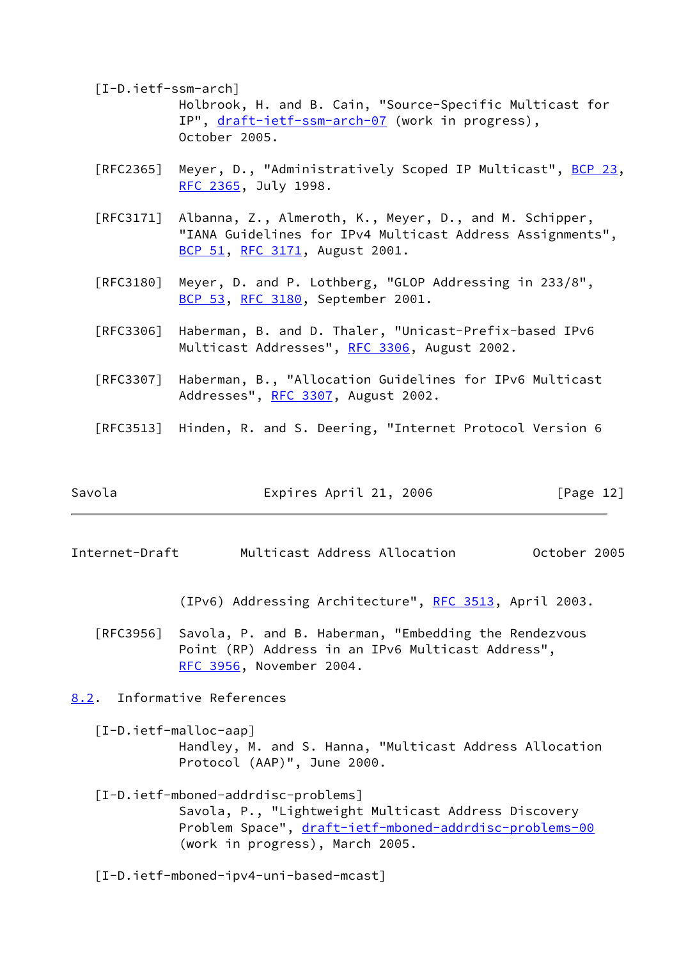<span id="page-13-2"></span> [I-D.ietf-ssm-arch] Holbrook, H. and B. Cain, "Source-Specific Multicast for IP", [draft-ietf-ssm-arch-07](https://datatracker.ietf.org/doc/pdf/draft-ietf-ssm-arch-07) (work in progress), October 2005.

- [RFC2365] Meyer, D., "Administratively Scoped IP Multicast", [BCP 23](https://datatracker.ietf.org/doc/pdf/bcp23), [RFC 2365,](https://datatracker.ietf.org/doc/pdf/rfc2365) July 1998.
- [RFC3171] Albanna, Z., Almeroth, K., Meyer, D., and M. Schipper, "IANA Guidelines for IPv4 Multicast Address Assignments", [BCP 51](https://datatracker.ietf.org/doc/pdf/bcp51), [RFC 3171,](https://datatracker.ietf.org/doc/pdf/rfc3171) August 2001.
- [RFC3180] Meyer, D. and P. Lothberg, "GLOP Addressing in 233/8", [BCP 53](https://datatracker.ietf.org/doc/pdf/bcp53), [RFC 3180,](https://datatracker.ietf.org/doc/pdf/rfc3180) September 2001.
- [RFC3306] Haberman, B. and D. Thaler, "Unicast-Prefix-based IPv6 Multicast Addresses", [RFC 3306](https://datatracker.ietf.org/doc/pdf/rfc3306), August 2002.
- [RFC3307] Haberman, B., "Allocation Guidelines for IPv6 Multicast Addresses", [RFC 3307,](https://datatracker.ietf.org/doc/pdf/rfc3307) August 2002.
- [RFC3513] Hinden, R. and S. Deering, "Internet Protocol Version 6

| Expires April 21, 2006 | [Page 12] |
|------------------------|-----------|
|                        |           |

<span id="page-13-1"></span>Internet-Draft Multicast Address Allocation October 2005

(IPv6) Addressing Architecture", [RFC 3513,](https://datatracker.ietf.org/doc/pdf/rfc3513) April 2003.

 [RFC3956] Savola, P. and B. Haberman, "Embedding the Rendezvous Point (RP) Address in an IPv6 Multicast Address", [RFC 3956,](https://datatracker.ietf.org/doc/pdf/rfc3956) November 2004.

<span id="page-13-0"></span>[8.2](#page-13-0). Informative References

<span id="page-13-3"></span> [I-D.ietf-malloc-aap] Handley, M. and S. Hanna, "Multicast Address Allocation Protocol (AAP)", June 2000.

# <span id="page-13-4"></span> [I-D.ietf-mboned-addrdisc-problems] Savola, P., "Lightweight Multicast Address Discovery Problem Space", [draft-ietf-mboned-addrdisc-problems-00](https://datatracker.ietf.org/doc/pdf/draft-ietf-mboned-addrdisc-problems-00) (work in progress), March 2005.

[I-D.ietf-mboned-ipv4-uni-based-mcast]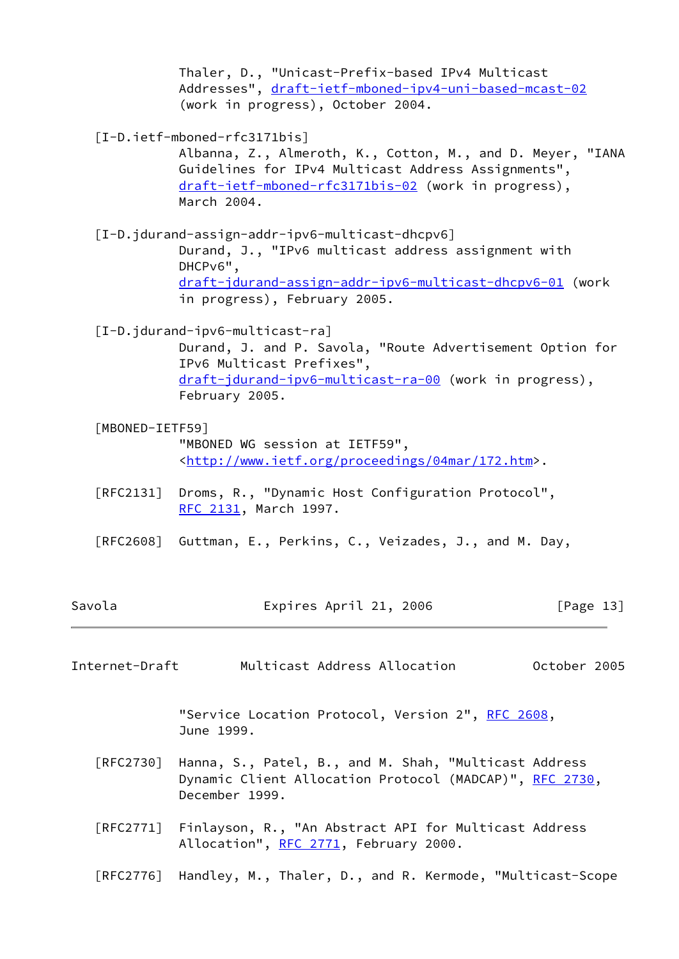Thaler, D., "Unicast-Prefix-based IPv4 Multicast Addresses", [draft-ietf-mboned-ipv4-uni-based-mcast-02](https://datatracker.ietf.org/doc/pdf/draft-ietf-mboned-ipv4-uni-based-mcast-02) (work in progress), October 2004.

[I-D.ietf-mboned-rfc3171bis]

 Albanna, Z., Almeroth, K., Cotton, M., and D. Meyer, "IANA Guidelines for IPv4 Multicast Address Assignments", [draft-ietf-mboned-rfc3171bis-02](https://datatracker.ietf.org/doc/pdf/draft-ietf-mboned-rfc3171bis-02) (work in progress), March 2004.

 [I-D.jdurand-assign-addr-ipv6-multicast-dhcpv6] Durand, J., "IPv6 multicast address assignment with DHCPv6", [draft-jdurand-assign-addr-ipv6-multicast-dhcpv6-01](https://datatracker.ietf.org/doc/pdf/draft-jdurand-assign-addr-ipv6-multicast-dhcpv6-01) (work in progress), February 2005.

<span id="page-14-1"></span>[I-D.jdurand-ipv6-multicast-ra]

 Durand, J. and P. Savola, "Route Advertisement Option for IPv6 Multicast Prefixes", [draft-jdurand-ipv6-multicast-ra-00](https://datatracker.ietf.org/doc/pdf/draft-jdurand-ipv6-multicast-ra-00) (work in progress), February 2005.

#### <span id="page-14-2"></span>[MBONED-IETF59]

 "MBONED WG session at IETF59", <[http://www.ietf.org/proceedings/04mar/172.htm>](http://www.ietf.org/proceedings/04mar/172.htm).

- [RFC2131] Droms, R., "Dynamic Host Configuration Protocol", [RFC 2131,](https://datatracker.ietf.org/doc/pdf/rfc2131) March 1997.
- [RFC2608] Guttman, E., Perkins, C., Veizades, J., and M. Day,

| Savola | Expires April 21, 2006 | [Page 13] |
|--------|------------------------|-----------|
|        |                        |           |

<span id="page-14-0"></span>Internet-Draft Multicast Address Allocation October 2005

"Service Location Protocol, Version 2", [RFC 2608,](https://datatracker.ietf.org/doc/pdf/rfc2608) June 1999.

- [RFC2730] Hanna, S., Patel, B., and M. Shah, "Multicast Address Dynamic Client Allocation Protocol (MADCAP)", [RFC 2730](https://datatracker.ietf.org/doc/pdf/rfc2730), December 1999.
- [RFC2771] Finlayson, R., "An Abstract API for Multicast Address Allocation", [RFC 2771](https://datatracker.ietf.org/doc/pdf/rfc2771), February 2000.
- [RFC2776] Handley, M., Thaler, D., and R. Kermode, "Multicast-Scope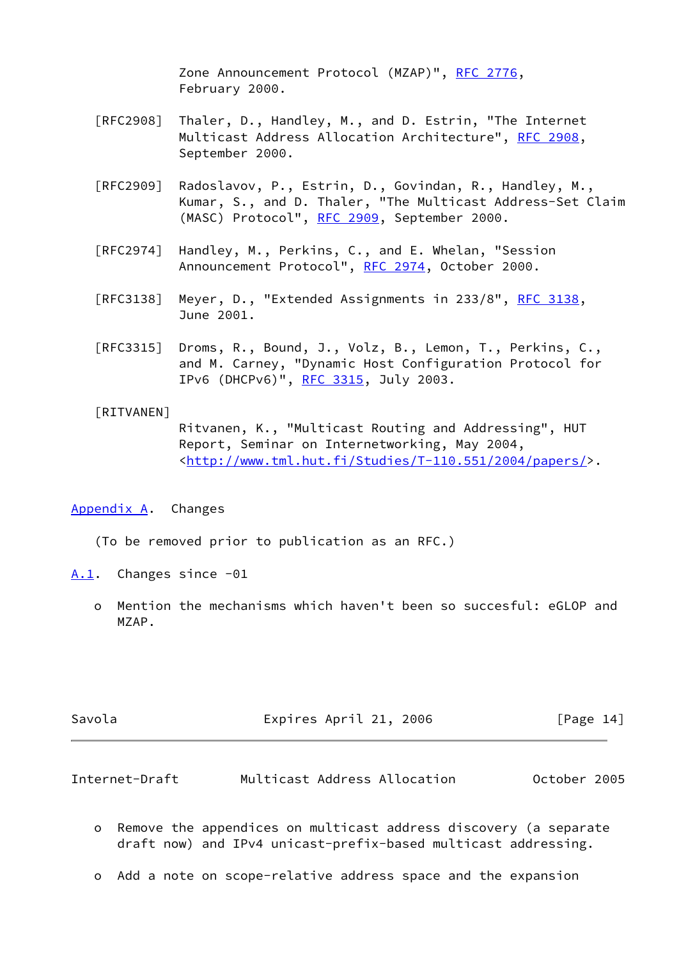Zone Announcement Protocol (MZAP)", [RFC 2776,](https://datatracker.ietf.org/doc/pdf/rfc2776) February 2000.

- [RFC2908] Thaler, D., Handley, M., and D. Estrin, "The Internet Multicast Address Allocation Architecture", [RFC 2908,](https://datatracker.ietf.org/doc/pdf/rfc2908) September 2000.
- [RFC2909] Radoslavov, P., Estrin, D., Govindan, R., Handley, M., Kumar, S., and D. Thaler, "The Multicast Address-Set Claim (MASC) Protocol", [RFC 2909](https://datatracker.ietf.org/doc/pdf/rfc2909), September 2000.
- [RFC2974] Handley, M., Perkins, C., and E. Whelan, "Session Announcement Protocol", [RFC 2974,](https://datatracker.ietf.org/doc/pdf/rfc2974) October 2000.
- [RFC3138] Meyer, D., "Extended Assignments in 233/8", [RFC 3138,](https://datatracker.ietf.org/doc/pdf/rfc3138) June 2001.
- [RFC3315] Droms, R., Bound, J., Volz, B., Lemon, T., Perkins, C., and M. Carney, "Dynamic Host Configuration Protocol for IPv6 (DHCPv6)", [RFC 3315,](https://datatracker.ietf.org/doc/pdf/rfc3315) July 2003.

#### <span id="page-15-3"></span>[RITVANEN]

 Ritvanen, K., "Multicast Routing and Addressing", HUT Report, Seminar on Internetworking, May 2004, <[http://www.tml.hut.fi/Studies/T-110.551/2004/papers/>](http://www.tml.hut.fi/Studies/T-110.551/2004/papers/).

## <span id="page-15-0"></span>[Appendix A.](#page-15-0) Changes

(To be removed prior to publication as an RFC.)

<span id="page-15-1"></span>[A.1](#page-15-1). Changes since -01

 o Mention the mechanisms which haven't been so succesful: eGLOP and MZAP.

<span id="page-15-2"></span>

| Savola         | Expires April 21, 2006       | $\lceil \text{Page 14} \rceil$ |
|----------------|------------------------------|--------------------------------|
|                |                              |                                |
| Internet-Draft | Multicast Address Allocation | October 2005                   |

- o Remove the appendices on multicast address discovery (a separate draft now) and IPv4 unicast-prefix-based multicast addressing.
- o Add a note on scope-relative address space and the expansion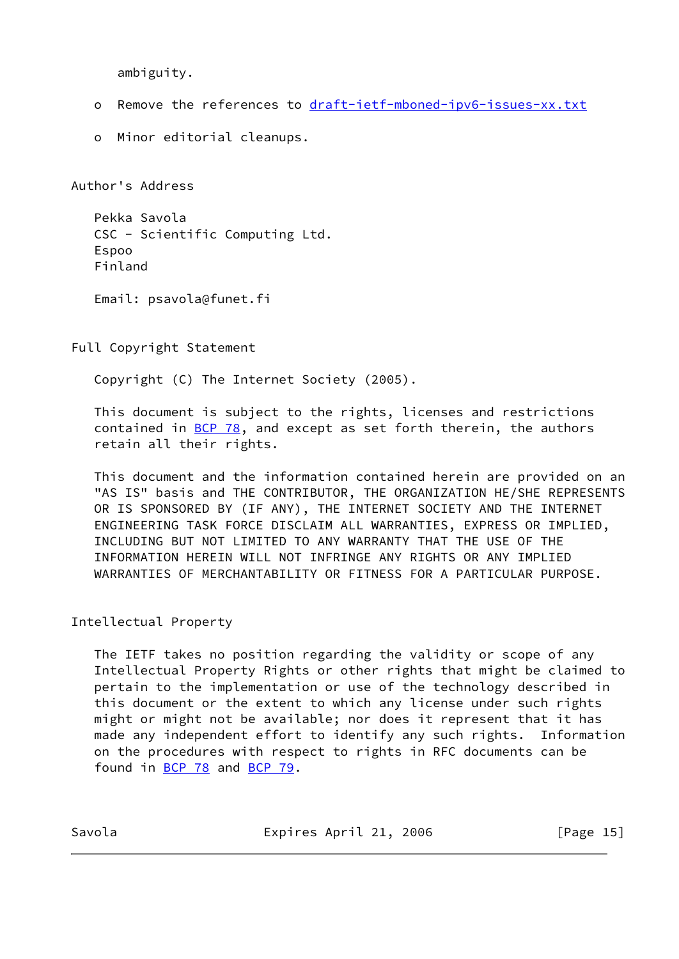ambiguity.

- o Remove the references to [draft-ietf-mboned-ipv6-issues-xx.txt](https://datatracker.ietf.org/doc/pdf/draft-ietf-mboned-ipv6-issues-xx.txt)
- o Minor editorial cleanups.

Author's Address

 Pekka Savola CSC - Scientific Computing Ltd. Espoo Finland

Email: psavola@funet.fi

Full Copyright Statement

Copyright (C) The Internet Society (2005).

 This document is subject to the rights, licenses and restrictions contained in  $BCP$  78, and except as set forth therein, the authors retain all their rights.

 This document and the information contained herein are provided on an "AS IS" basis and THE CONTRIBUTOR, THE ORGANIZATION HE/SHE REPRESENTS OR IS SPONSORED BY (IF ANY), THE INTERNET SOCIETY AND THE INTERNET ENGINEERING TASK FORCE DISCLAIM ALL WARRANTIES, EXPRESS OR IMPLIED, INCLUDING BUT NOT LIMITED TO ANY WARRANTY THAT THE USE OF THE INFORMATION HEREIN WILL NOT INFRINGE ANY RIGHTS OR ANY IMPLIED WARRANTIES OF MERCHANTABILITY OR FITNESS FOR A PARTICULAR PURPOSE.

Intellectual Property

 The IETF takes no position regarding the validity or scope of any Intellectual Property Rights or other rights that might be claimed to pertain to the implementation or use of the technology described in this document or the extent to which any license under such rights might or might not be available; nor does it represent that it has made any independent effort to identify any such rights. Information on the procedures with respect to rights in RFC documents can be found in [BCP 78](https://datatracker.ietf.org/doc/pdf/bcp78) and [BCP 79](https://datatracker.ietf.org/doc/pdf/bcp79).

Savola **Expires April 21, 2006** [Page 15]